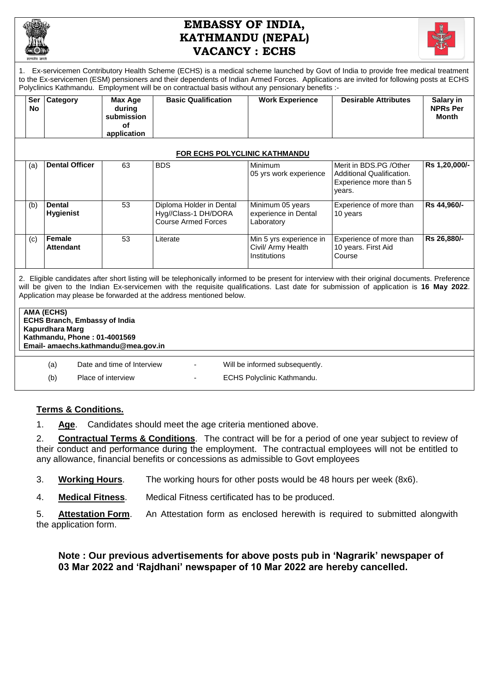

# **EMBASSY OF INDIA, KATHMANDU (NEPAL) VACANCY : ECHS**



1. Ex-servicemen Contributory Health Scheme (ECHS) is a medical scheme launched by Govt of India to provide free medical treatment to the Ex-servicemen (ESM) pensioners and their dependents of Indian Armed Forces. Applications are invited for following posts at ECHS Polyclinics Kathmandu. Employment will be on contractual basis without any pensionary benefits :-

| Ser<br>No. | Category                          | Max Age<br>during<br>submission<br>οf<br>application | <b>Basic Qualification</b>                                                     | <b>Work Experience</b>                                        | <b>Desirable Attributes</b>                                                              | Salary in<br><b>NPRs Per</b><br><b>Month</b> |
|------------|-----------------------------------|------------------------------------------------------|--------------------------------------------------------------------------------|---------------------------------------------------------------|------------------------------------------------------------------------------------------|----------------------------------------------|
|            |                                   |                                                      | <b>FOR ECHS POLYCLINIC KATHMANDU</b>                                           |                                                               |                                                                                          |                                              |
| (a)        | <b>Dental Officer</b>             | 63                                                   | <b>BDS</b>                                                                     | Minimum<br>05 yrs work experience                             | Merit in BDS.PG / Other<br>Additional Qualification.<br>Experience more than 5<br>years. | Rs 1,20,000/-                                |
| (b)        | <b>Dental</b><br><b>Hygienist</b> | 53                                                   | Diploma Holder in Dental<br>Hyg//Class-1 DH/DORA<br><b>Course Armed Forces</b> | Minimum 05 years<br>experience in Dental<br>Laboratory        | Experience of more than<br>10 years                                                      | Rs 44,960/-                                  |
| (c)        | Female<br><b>Attendant</b>        | 53                                                   | Literate                                                                       | Min 5 yrs experience in<br>Civil/ Army Health<br>Institutions | Experience of more than<br>10 years. First Aid<br>Course                                 | Rs 26,880/-                                  |

2. Eligible candidates after short listing will be telephonically informed to be present for interview with their original documents. Preference will be given to the Indian Ex-servicemen with the requisite qualifications. Last date for submission of application is **16 May 2022**. Application may please be forwarded at the address mentioned below.

| AMA (ECHS)<br><b>ECHS Branch, Embassy of India</b><br>Kapurdhara Marq<br>Kathmandu, Phone: 01-4001569<br>Email- amaechs.kathmandu@mea.gov.in |                            |   |                                   |  |  |  |  |
|----------------------------------------------------------------------------------------------------------------------------------------------|----------------------------|---|-----------------------------------|--|--|--|--|
| (a)                                                                                                                                          | Date and time of Interview |   | Will be informed subsequently.    |  |  |  |  |
| (b)                                                                                                                                          | Place of interview         | - | <b>ECHS Polyclinic Kathmandu.</b> |  |  |  |  |

## **Terms & Conditions.**

1. **Age**. Candidates should meet the age criteria mentioned above.

2. **Contractual Terms & Conditions**. The contract will be for a period of one year subject to review of their conduct and performance during the employment. The contractual employees will not be entitled to any allowance, financial benefits or concessions as admissible to Govt employees

- 3. **Working Hours**. The working hours for other posts would be 48 hours per week (8x6).
- 4. **Medical Fitness**. Medical Fitness certificated has to be produced.
- 5. **Attestation Form**. An Attestation form as enclosed herewith is required to submitted alongwith the application form.

# **Note : Our previous advertisements for above posts pub in 'Nagrarik' newspaper of 03 Mar 2022 and 'Rajdhani' newspaper of 10 Mar 2022 are hereby cancelled.**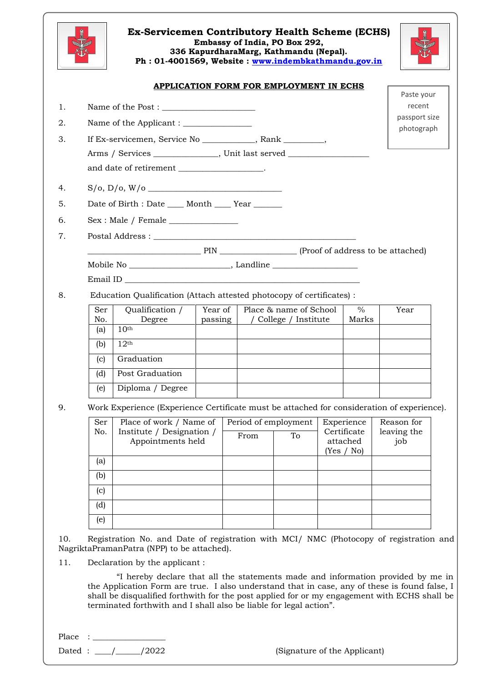

#### **Ex-Servicemen Contributory Health Scheme (ECHS) Embassy of India, PO Box 292, 336 KapurdharaMarg, Kathmandu (Nepal). Ph : 01-4001569, Website : [www.indembkathmandu.gov.in](http://www.indembkathmandu.gov.in/)**



### **APPLICATION FORM FOR EMPLOYMENT IN ECHS**

|                                                                                            |                                                  |         |      |                        |                         |               | Paste your                  |  |
|--------------------------------------------------------------------------------------------|--------------------------------------------------|---------|------|------------------------|-------------------------|---------------|-----------------------------|--|
|                                                                                            |                                                  |         |      |                        |                         |               | recent                      |  |
|                                                                                            |                                                  |         |      |                        |                         |               | passport size<br>photograph |  |
| If Ex-servicemen, Service No __________, Rank _______,                                     |                                                  |         |      |                        |                         |               |                             |  |
|                                                                                            |                                                  |         |      |                        |                         |               |                             |  |
|                                                                                            | and date of retirement ___________________.      |         |      |                        |                         |               |                             |  |
|                                                                                            |                                                  |         |      |                        |                         |               |                             |  |
|                                                                                            | Date of Birth : Date ____ Month ____ Year ______ |         |      |                        |                         |               |                             |  |
|                                                                                            |                                                  |         |      |                        |                         |               |                             |  |
|                                                                                            |                                                  |         |      |                        |                         |               |                             |  |
| PIN PIN Proof of address to be attached)                                                   |                                                  |         |      |                        |                         |               |                             |  |
| Mobile No _________________________________, Landline __________________________           |                                                  |         |      |                        |                         |               |                             |  |
|                                                                                            |                                                  |         |      |                        |                         |               |                             |  |
| Education Qualification (Attach attested photocopy of certificates) :                      |                                                  |         |      |                        |                         |               |                             |  |
| Ser                                                                                        | Qualification /                                  | Year of |      | Place & name of School |                         | $\frac{0}{0}$ | Year                        |  |
| No.<br>(a)                                                                                 | Degree<br>10 <sup>th</sup>                       | passing |      | / College / Institute  |                         | Marks         |                             |  |
| (b)                                                                                        | $12^{\text{th}}$                                 |         |      |                        |                         |               |                             |  |
| (c)                                                                                        | Graduation                                       |         |      |                        |                         |               |                             |  |
| (d)                                                                                        | Post Graduation                                  |         |      |                        |                         |               |                             |  |
| (e)                                                                                        | Diploma / Degree                                 |         |      |                        |                         |               |                             |  |
| Work Experience (Experience Certificate must be attached for consideration of experience). |                                                  |         |      |                        |                         |               |                             |  |
| Ser                                                                                        | Place of work / Name of                          |         |      | Period of employment   | Experience              |               | Reason for                  |  |
| No.                                                                                        | Institute / Designation /<br>Appointments held   |         | From | To                     | Certificate<br>attached |               | leaving the<br>job          |  |
|                                                                                            |                                                  |         |      |                        | (Yes / No)              |               |                             |  |
| (a)                                                                                        |                                                  |         |      |                        |                         |               |                             |  |
| (b)                                                                                        |                                                  |         |      |                        |                         |               |                             |  |
| $\left( \text{c} \right)$                                                                  |                                                  |         |      |                        |                         |               |                             |  |
|                                                                                            |                                                  |         |      |                        |                         |               |                             |  |
| (d)                                                                                        |                                                  |         |      |                        |                         |               |                             |  |

10. Registration No. and Date of registration with MCI/ NMC (Photocopy of registration and NagriktaPramanPatra (NPP) to be attached).

11. Declaration by the applicant :

"I hereby declare that all the statements made and information provided by me in the Application Form are true. I also understand that in case, any of these is found false, I shall be disqualified forthwith for the post applied for or my engagement with ECHS shall be terminated forthwith and I shall also be liable for legal action".

Place : \_\_\_\_\_\_\_\_\_\_\_\_\_\_\_\_\_\_

Dated : \_\_\_\_/\_\_\_\_\_\_/2022 (Signature of the Applicant)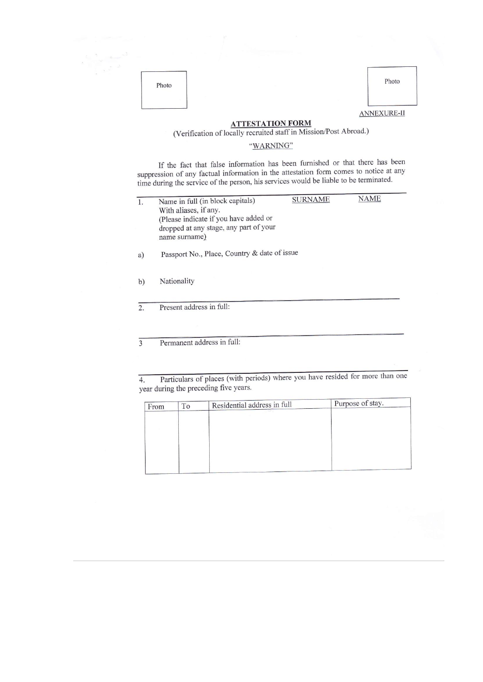| -2<br>$\mathcal{L}_{\text{cusp}}$ |       |                    |
|-----------------------------------|-------|--------------------|
|                                   | Photo | Photo              |
|                                   |       | <b>ANNEXURE-II</b> |

**ATTESTATION FORM**<br>(Verification of locally recruited staff in Mission/Post Abroad.)

#### "WARNING"

If the fact that false information has been furnished or that there has been suppression of any factual information in the attestation form comes to notice at any time during the service of the person, his services would be liable to be terminated.

| 1.           | Name in full (in block capitals)                                              | <b>SURNAME</b> | NAME |  |  |  |  |  |  |  |
|--------------|-------------------------------------------------------------------------------|----------------|------|--|--|--|--|--|--|--|
|              | With aliases, if any.                                                         |                |      |  |  |  |  |  |  |  |
|              | (Please indicate if you have added or                                         |                |      |  |  |  |  |  |  |  |
|              | dropped at any stage, any part of your                                        |                |      |  |  |  |  |  |  |  |
|              | name surname)                                                                 |                |      |  |  |  |  |  |  |  |
| a)           | Passport No., Place, Country & date of issue                                  |                |      |  |  |  |  |  |  |  |
|              |                                                                               |                |      |  |  |  |  |  |  |  |
| b)           | Nationality                                                                   |                |      |  |  |  |  |  |  |  |
|              |                                                                               |                |      |  |  |  |  |  |  |  |
| 2.           | Present address in full:                                                      |                |      |  |  |  |  |  |  |  |
|              |                                                                               |                |      |  |  |  |  |  |  |  |
|              |                                                                               |                |      |  |  |  |  |  |  |  |
|              |                                                                               |                |      |  |  |  |  |  |  |  |
| $\mathbf{3}$ | Permanent address in full:                                                    |                |      |  |  |  |  |  |  |  |
|              |                                                                               |                |      |  |  |  |  |  |  |  |
|              |                                                                               |                |      |  |  |  |  |  |  |  |
|              |                                                                               |                |      |  |  |  |  |  |  |  |
| 4.           | Particulars of places (with periods) where you have resided for more than one |                |      |  |  |  |  |  |  |  |
|              | year during the preceding five years.                                         |                |      |  |  |  |  |  |  |  |

| From | To | Residential address in full | Purpose of stay. |
|------|----|-----------------------------|------------------|
|      |    |                             |                  |
|      |    |                             |                  |
|      |    |                             |                  |
|      |    |                             |                  |
|      |    |                             |                  |
|      |    |                             |                  |
|      |    |                             |                  |
|      |    |                             |                  |
|      |    |                             |                  |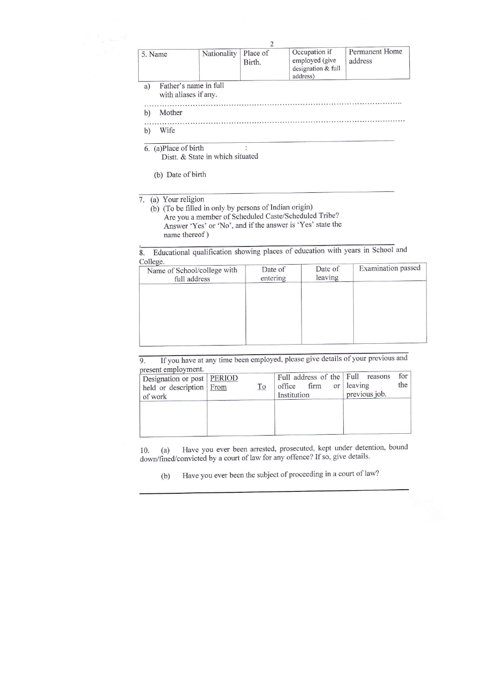|                                                     |  | Birth. | employed (give<br>designation & full<br>address) | address |
|-----------------------------------------------------|--|--------|--------------------------------------------------|---------|
| Father's name in full<br>a)<br>with aliases if any. |  |        |                                                  |         |
| Mother<br>b                                         |  |        |                                                  |         |
| Wife<br>$\mathbf{b}$                                |  |        |                                                  |         |

 $6.$  (a)Place of birth

Distt. & State in which situated

(b) Date of birth

7. (a) Your religion

(b) (To be filled in only by persons of Indian origin) Are you a member of Scheduled Caste/Scheduled Tribe? Answer 'Yes' or 'No', and if the answer is 'Yes' state the name thereof)

Educational qualification showing places of education with years in School and  $\overline{8}$ .  $C_0$ llege

| Conege.<br>Name of School/college with | Date of  | Date of<br>leaving | Examination passed |
|----------------------------------------|----------|--------------------|--------------------|
| full address                           | entering |                    |                    |
|                                        |          |                    |                    |
|                                        |          |                    |                    |
|                                        |          |                    |                    |
|                                        |          |                    |                    |
|                                        |          |                    |                    |
|                                        |          |                    |                    |
|                                        |          |                    |                    |

If you have at any time been employed, please give details of your previous and  $\overline{9}$ . present employment

| DI COUIL CHIPTO THUILLE<br>Designation or post   PERIOD<br>held or description From<br>of work | <u>To</u> | Full address of the Full reasons<br>firm<br>office<br>Institution | or leaving<br>previous job. | for<br>the |
|------------------------------------------------------------------------------------------------|-----------|-------------------------------------------------------------------|-----------------------------|------------|
|                                                                                                |           |                                                                   |                             |            |

Have you ever been arrested, prosecuted, kept under detention, bound 10.  $(a)$ down/fined/convicted by a court of law for any offence? If so, give details.

Have you ever been the subject of proceeding in a court of law?  $(b)$